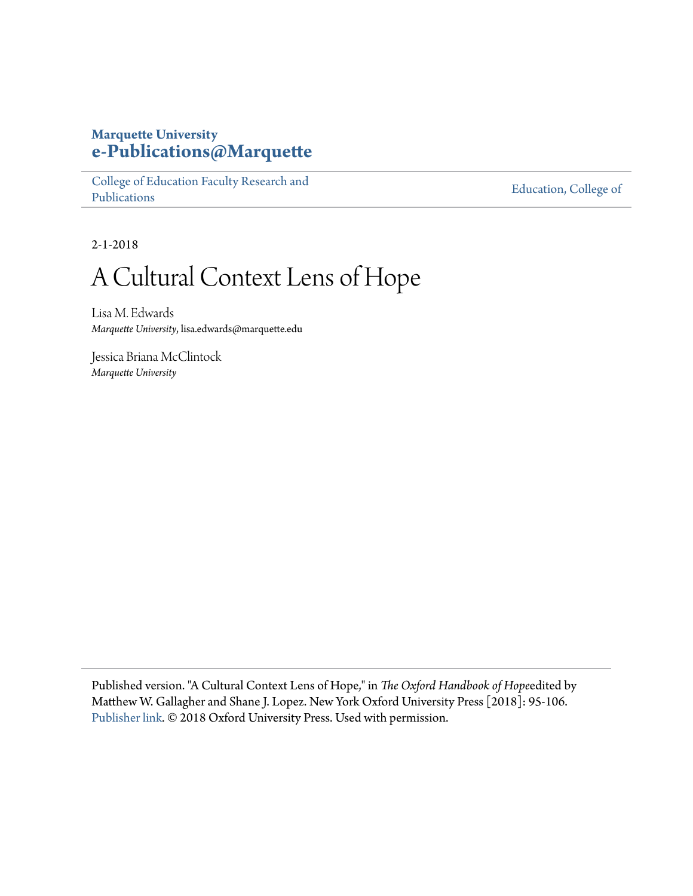## **Marquette University [e-Publications@Marquette](https://epublications.marquette.edu)**

[College of Education Faculty Research and](https://epublications.marquette.edu/edu_fac) [Publications](https://epublications.marquette.edu/edu_fac)

[Education, College of](https://epublications.marquette.edu/education)

2-1-2018

# A Cultural Context Lens of Hope

Lisa M. Edwards *Marquette University*, lisa.edwards@marquette.edu

Jessica Briana McClintock *Marquette University*

Published version. "A Cultural Context Lens of Hope," in *The Oxford Handbook of Hope*edited by Matthew W. Gallagher and Shane J. Lopez. New York Oxford University Press [2018]: 95-106. [Publisher link](https://global.oup.com/academic/product/9780199399314). © 2018 Oxford University Press. Used with permission.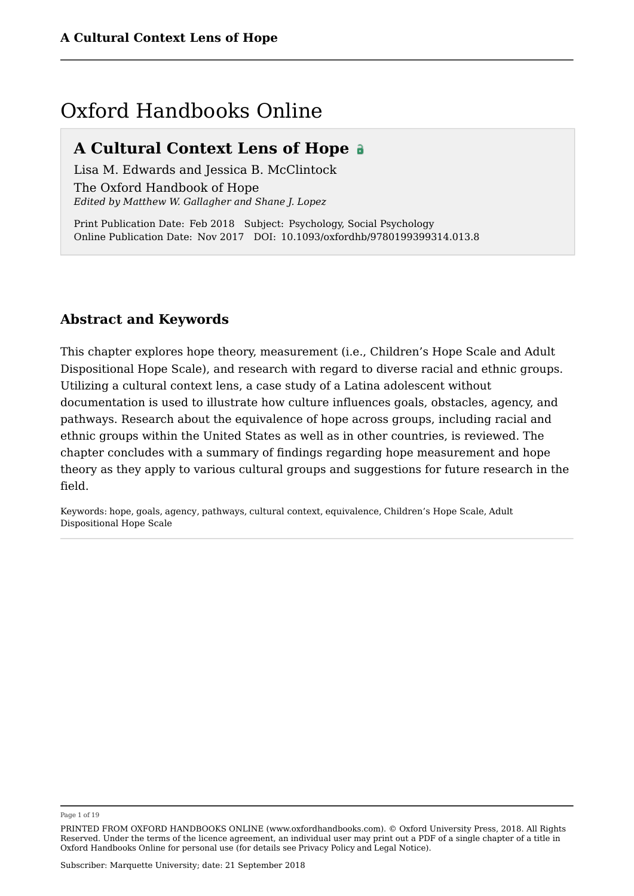## Oxford Handbooks Online

## **A Cultural Context Lens of Hope**

Lisa M. Edwards and Jessica B. McClintock The Oxford Handbook of Hope *Edited by Matthew W. Gallagher and Shane J. Lopez*

Print Publication Date: Feb 2018 Subject: Psychology, Social Psychology Online Publication Date: Nov 2017 DOI: 10.1093/oxfordhb/9780199399314.013.8

## **Abstract and Keywords**

This chapter explores hope theory, measurement (i.e., Children's Hope Scale and Adult Dispositional Hope Scale), and research with regard to diverse racial and ethnic groups. Utilizing a cultural context lens, a case study of a Latina adolescent without documentation is used to illustrate how culture influences goals, obstacles, agency, and pathways. Research about the equivalence of hope across groups, including racial and ethnic groups within the United States as well as in other countries, is reviewed. The chapter concludes with a summary of findings regarding hope measurement and hope theory as they apply to various cultural groups and suggestions for future research in the field.

Keywords: hope, goals, agency, pathways, cultural context, equivalence, Children's Hope Scale, Adult Dispositional Hope Scale

Page 1 of 19

PRINTED FROM OXFORD HANDBOOKS ONLINE (www.oxfordhandbooks.com). © Oxford University Press, 2018. All Rights Reserved. Under the terms of the licence agreement, an individual user may print out a PDF of a single chapter of a title in Oxford Handbooks Online for personal use (for details see Privacy Policy and Legal Notice).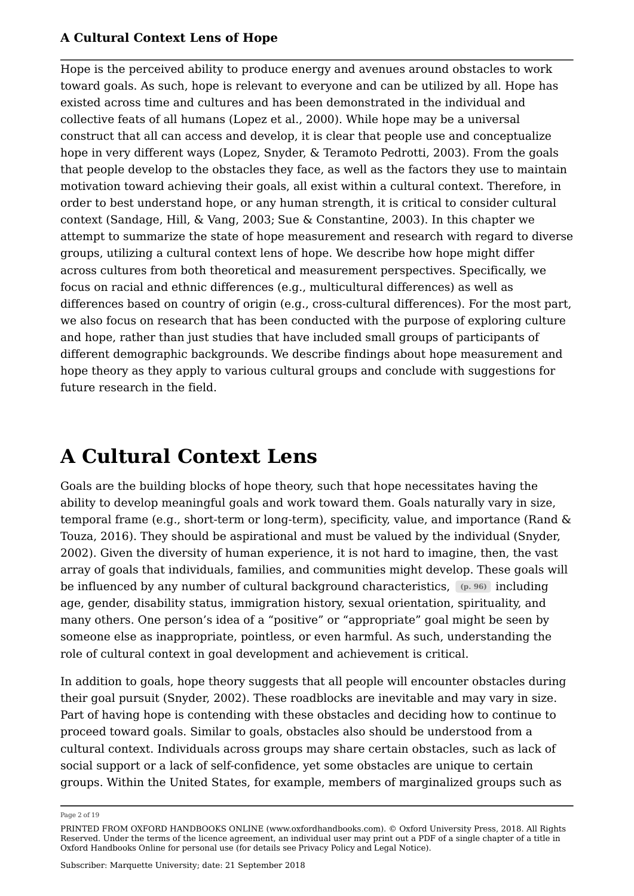Hope is the perceived ability to produce energy and avenues around obstacles to work toward goals. As such, hope is relevant to everyone and can be utilized by all. Hope has existed across time and cultures and has been demonstrated in the individual and collective feats of all humans (Lopez et al., 2000). While hope may be a universal construct that all can access and develop, it is clear that people use and conceptualize hope in very different ways (Lopez, Snyder, & Teramoto Pedrotti, 2003). From the goals that people develop to the obstacles they face, as well as the factors they use to maintain motivation toward achieving their goals, all exist within a cultural context. Therefore, in order to best understand hope, or any human strength, it is critical to consider cultural context (Sandage, Hill, & Vang, 2003; Sue & Constantine, 2003). In this chapter we attempt to summarize the state of hope measurement and research with regard to diverse groups, utilizing a cultural context lens of hope. We describe how hope might differ across cultures from both theoretical and measurement perspectives. Specifically, we focus on racial and ethnic differences (e.g., multicultural differences) as well as differences based on country of origin (e.g., cross-cultural differences). For the most part, we also focus on research that has been conducted with the purpose of exploring culture and hope, rather than just studies that have included small groups of participants of different demographic backgrounds. We describe findings about hope measurement and hope theory as they apply to various cultural groups and conclude with suggestions for future research in the field.

## **A Cultural Context Lens**

Goals are the building blocks of hope theory, such that hope necessitates having the ability to develop meaningful goals and work toward them. Goals naturally vary in size, temporal frame (e.g., short-term or long-term), specificity, value, and importance (Rand & Touza, 2016). They should be aspirational and must be valued by the individual (Snyder, 2002). Given the diversity of human experience, it is not hard to imagine, then, the vast array of goals that individuals, families, and communities might develop. These goals will be influenced by any number of cultural background characteristics, enchanged including age, gender, disability status, immigration history, sexual orientation, spirituality, and many others. One person's idea of a "positive" or "appropriate" goal might be seen by someone else as inappropriate, pointless, or even harmful. As such, understanding the role of cultural context in goal development and achievement is critical.

In addition to goals, hope theory suggests that all people will encounter obstacles during their goal pursuit (Snyder, 2002). These roadblocks are inevitable and may vary in size. Part of having hope is contending with these obstacles and deciding how to continue to proceed toward goals. Similar to goals, obstacles also should be understood from a cultural context. Individuals across groups may share certain obstacles, such as lack of social support or a lack of self-confidence, yet some obstacles are unique to certain groups. Within the United States, for example, members of marginalized groups such as

Page 2 of 19

PRINTED FROM OXFORD HANDBOOKS ONLINE (www.oxfordhandbooks.com). © Oxford University Press, 2018. All Rights Reserved. Under the terms of the licence agreement, an individual user may print out a PDF of a single chapter of a title in Oxford Handbooks Online for personal use (for details see Privacy Policy and Legal Notice).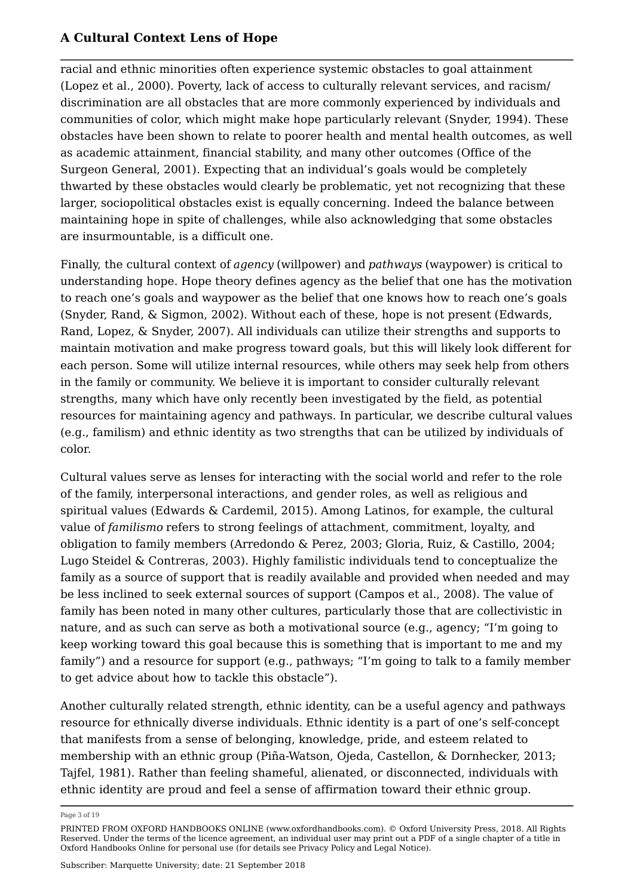racial and ethnic minorities often experience systemic obstacles to goal attainment (Lopez et al., 2000). Poverty, lack of access to culturally relevant services, and racism/ discrimination are all obstacles that are more commonly experienced by individuals and communities of color, which might make hope particularly relevant (Snyder, 1994). These obstacles have been shown to relate to poorer health and mental health outcomes, as well as academic attainment, financial stability, and many other outcomes (Office of the Surgeon General, 2001). Expecting that an individual's goals would be completely thwarted by these obstacles would clearly be problematic, yet not recognizing that these larger, sociopolitical obstacles exist is equally concerning. Indeed the balance between maintaining hope in spite of challenges, while also acknowledging that some obstacles are insurmountable, is a difficult one.

Finally, the cultural context of *agency* (willpower) and *pathways* (waypower) is critical to understanding hope. Hope theory defines agency as the belief that one has the motivation to reach one's goals and waypower as the belief that one knows how to reach one's goals (Snyder, Rand, & Sigmon, 2002). Without each of these, hope is not present (Edwards, Rand, Lopez, & Snyder, 2007). All individuals can utilize their strengths and supports to maintain motivation and make progress toward goals, but this will likely look different for each person. Some will utilize internal resources, while others may seek help from others in the family or community. We believe it is important to consider culturally relevant strengths, many which have only recently been investigated by the field, as potential resources for maintaining agency and pathways. In particular, we describe cultural values (e.g., familism) and ethnic identity as two strengths that can be utilized by individuals of color.

Cultural values serve as lenses for interacting with the social world and refer to the role of the family, interpersonal interactions, and gender roles, as well as religious and spiritual values (Edwards & Cardemil, 2015). Among Latinos, for example, the cultural value of *familismo* refers to strong feelings of attachment, commitment, loyalty, and obligation to family members (Arredondo & Perez, 2003; Gloria, Ruiz, & Castillo, 2004; Lugo Steidel & Contreras, 2003). Highly familistic individuals tend to conceptualize the family as a source of support that is readily available and provided when needed and may be less inclined to seek external sources of support (Campos et al., 2008). The value of family has been noted in many other cultures, particularly those that are collectivistic in nature, and as such can serve as both a motivational source (e.g., agency; "I'm going to keep working toward this goal because this is something that is important to me and my family") and a resource for support (e.g., pathways; "I'm going to talk to a family member to get advice about how to tackle this obstacle").

Another culturally related strength, ethnic identity, can be a useful agency and pathways resource for ethnically diverse individuals. Ethnic identity is a part of one's self-concept that manifests from a sense of belonging, knowledge, pride, and esteem related to membership with an ethnic group (Piña-Watson, Ojeda, Castellon, & Dornhecker, 2013; Tajfel, 1981). Rather than feeling shameful, alienated, or disconnected, individuals with ethnic identity are proud and feel a sense of affirmation toward their ethnic group.

Page 3 of 19

PRINTED FROM OXFORD HANDBOOKS ONLINE (www.oxfordhandbooks.com). © Oxford University Press, 2018. All Rights Reserved. Under the terms of the licence agreement, an individual user may print out a PDF of a single chapter of a title in Oxford Handbooks Online for personal use (for details see Privacy Policy and Legal Notice).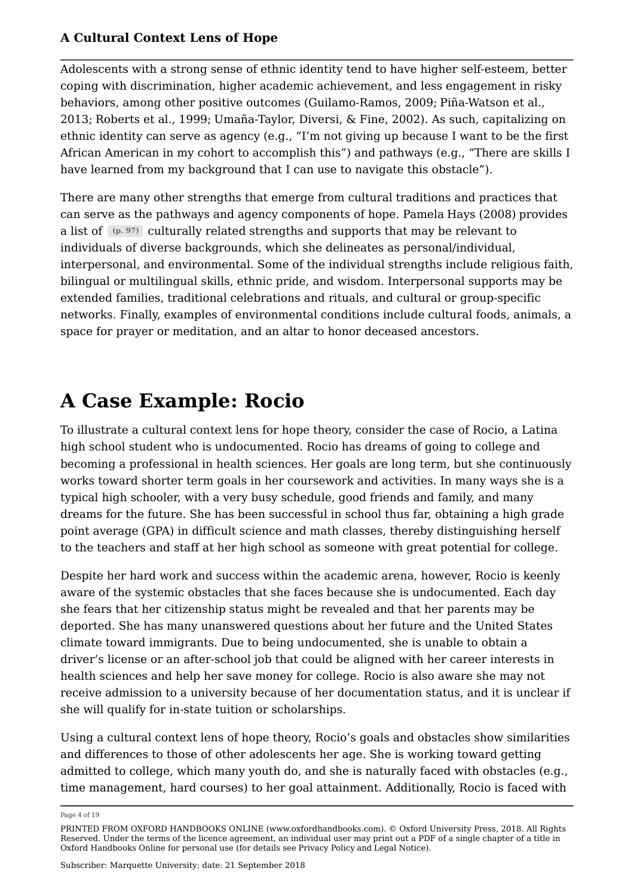Adolescents with a strong sense of ethnic identity tend to have higher self-esteem, better coping with discrimination, higher academic achievement, and less engagement in risky behaviors, among other positive outcomes (Guilamo-Ramos, 2009; Piña-Watson et al., 2013; Roberts et al., 1999; Umaña-Taylor, Diversi, & Fine, 2002). As such, capitalizing on ethnic identity can serve as agency (e.g., "I'm not giving up because I want to be the first African American in my cohort to accomplish this") and pathways (e.g., "There are skills I have learned from my background that I can use to navigate this obstacle").

There are many other strengths that emerge from cultural traditions and practices that can serve as the pathways and agency components of hope. Pamela Hays (2008) provides a list of  $\left(\mathfrak{p.}97\right)$  culturally related strengths and supports that may be relevant to individuals of diverse backgrounds, which she delineates as personal/individual, interpersonal, and environmental. Some of the individual strengths include religious faith, bilingual or multilingual skills, ethnic pride, and wisdom. Interpersonal supports may be extended families, traditional celebrations and rituals, and cultural or group-specific networks. Finally, examples of environmental conditions include cultural foods, animals, a space for prayer or meditation, and an altar to honor deceased ancestors.

## **A Case Example: Rocio**

To illustrate a cultural context lens for hope theory, consider the case of Rocio, a Latina high school student who is undocumented. Rocio has dreams of going to college and becoming a professional in health sciences. Her goals are long term, but she continuously works toward shorter term goals in her coursework and activities. In many ways she is a typical high schooler, with a very busy schedule, good friends and family, and many dreams for the future. She has been successful in school thus far, obtaining a high grade point average (GPA) in difficult science and math classes, thereby distinguishing herself to the teachers and staff at her high school as someone with great potential for college.

Despite her hard work and success within the academic arena, however, Rocio is keenly aware of the systemic obstacles that she faces because she is undocumented. Each day she fears that her citizenship status might be revealed and that her parents may be deported. She has many unanswered questions about her future and the United States climate toward immigrants. Due to being undocumented, she is unable to obtain a driver's license or an after-school job that could be aligned with her career interests in health sciences and help her save money for college. Rocio is also aware she may not receive admission to a university because of her documentation status, and it is unclear if she will qualify for in-state tuition or scholarships.

Using a cultural context lens of hope theory, Rocio's goals and obstacles show similarities and differences to those of other adolescents her age. She is working toward getting admitted to college, which many youth do, and she is naturally faced with obstacles (e.g., time management, hard courses) to her goal attainment. Additionally, Rocio is faced with

Page 4 of 19

PRINTED FROM OXFORD HANDBOOKS ONLINE (www.oxfordhandbooks.com). © Oxford University Press, 2018. All Rights Reserved. Under the terms of the licence agreement, an individual user may print out a PDF of a single chapter of a title in Oxford Handbooks Online for personal use (for details see Privacy Policy and Legal Notice).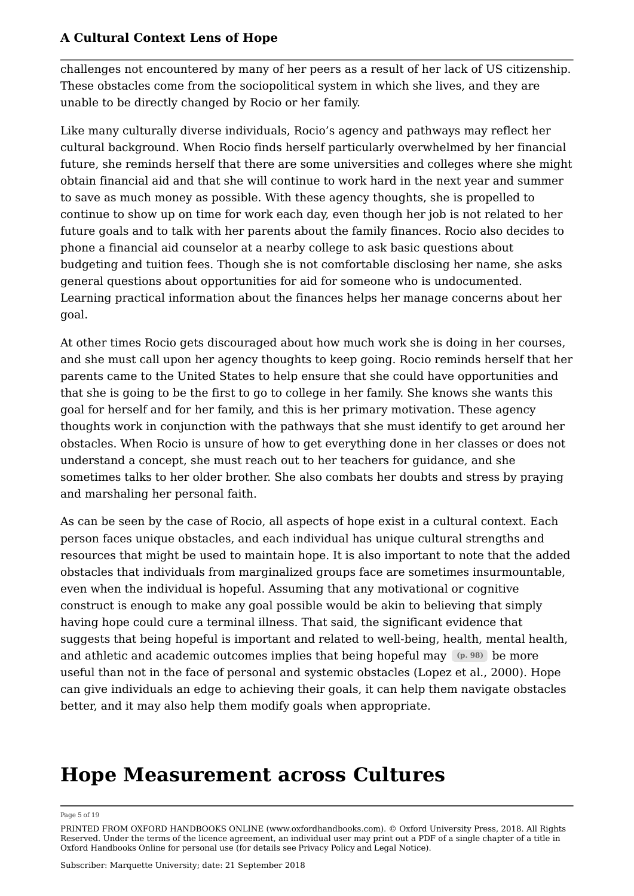challenges not encountered by many of her peers as a result of her lack of US citizenship. These obstacles come from the sociopolitical system in which she lives, and they are unable to be directly changed by Rocio or her family.

Like many culturally diverse individuals, Rocio's agency and pathways may reflect her cultural background. When Rocio finds herself particularly overwhelmed by her financial future, she reminds herself that there are some universities and colleges where she might obtain financial aid and that she will continue to work hard in the next year and summer to save as much money as possible. With these agency thoughts, she is propelled to continue to show up on time for work each day, even though her job is not related to her future goals and to talk with her parents about the family finances. Rocio also decides to phone a financial aid counselor at a nearby college to ask basic questions about budgeting and tuition fees. Though she is not comfortable disclosing her name, she asks general questions about opportunities for aid for someone who is undocumented. Learning practical information about the finances helps her manage concerns about her goal.

At other times Rocio gets discouraged about how much work she is doing in her courses, and she must call upon her agency thoughts to keep going. Rocio reminds herself that her parents came to the United States to help ensure that she could have opportunities and that she is going to be the first to go to college in her family. She knows she wants this goal for herself and for her family, and this is her primary motivation. These agency thoughts work in conjunction with the pathways that she must identify to get around her obstacles. When Rocio is unsure of how to get everything done in her classes or does not understand a concept, she must reach out to her teachers for guidance, and she sometimes talks to her older brother. She also combats her doubts and stress by praying and marshaling her personal faith.

As can be seen by the case of Rocio, all aspects of hope exist in a cultural context. Each person faces unique obstacles, and each individual has unique cultural strengths and resources that might be used to maintain hope. It is also important to note that the added obstacles that individuals from marginalized groups face are sometimes insurmountable, even when the individual is hopeful. Assuming that any motivational or cognitive construct is enough to make any goal possible would be akin to believing that simply having hope could cure a terminal illness. That said, the significant evidence that suggests that being hopeful is important and related to well-being, health, mental health, and athletic and academic outcomes implies that being hopeful may  $(p. 98)$  be more useful than not in the face of personal and systemic obstacles (Lopez et al., 2000). Hope can give individuals an edge to achieving their goals, it can help them navigate obstacles better, and it may also help them modify goals when appropriate.

## **Hope Measurement across Cultures**

#### Page 5 of 19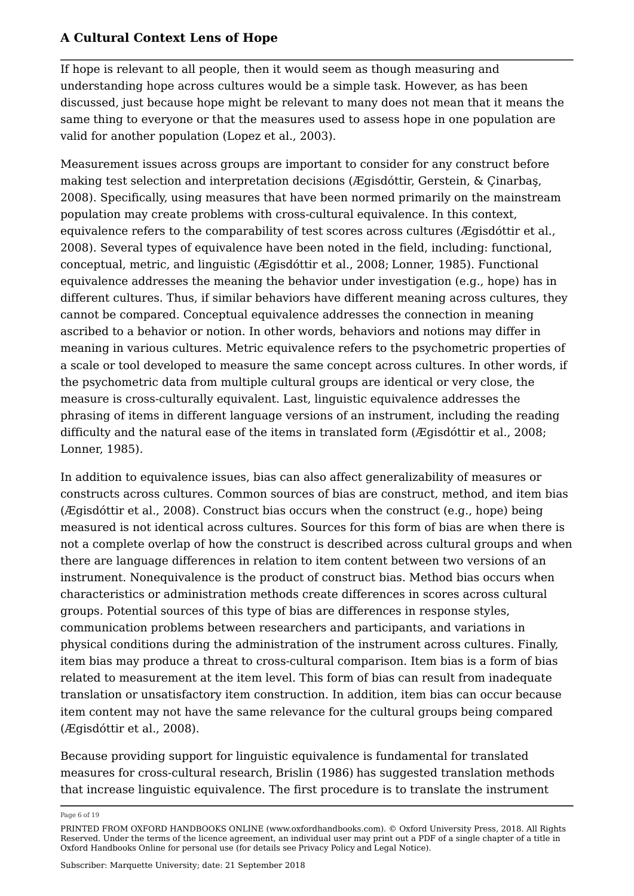If hope is relevant to all people, then it would seem as though measuring and understanding hope across cultures would be a simple task. However, as has been discussed, just because hope might be relevant to many does not mean that it means the same thing to everyone or that the measures used to assess hope in one population are valid for another population (Lopez et al., 2003).

Measurement issues across groups are important to consider for any construct before making test selection and interpretation decisions (Ægisdóttir, Gerstein, & Çinarbaş, 2008). Specifically, using measures that have been normed primarily on the mainstream population may create problems with cross-cultural equivalence. In this context, equivalence refers to the comparability of test scores across cultures (Ægisdóttir et al., 2008). Several types of equivalence have been noted in the field, including: functional, conceptual, metric, and linguistic (Ægisdóttir et al., 2008; Lonner, 1985). Functional equivalence addresses the meaning the behavior under investigation (e.g., hope) has in different cultures. Thus, if similar behaviors have different meaning across cultures, they cannot be compared. Conceptual equivalence addresses the connection in meaning ascribed to a behavior or notion. In other words, behaviors and notions may differ in meaning in various cultures. Metric equivalence refers to the psychometric properties of a scale or tool developed to measure the same concept across cultures. In other words, if the psychometric data from multiple cultural groups are identical or very close, the measure is cross-culturally equivalent. Last, linguistic equivalence addresses the phrasing of items in different language versions of an instrument, including the reading difficulty and the natural ease of the items in translated form (*Ægisdóttir et al., 2008*; Lonner, 1985).

In addition to equivalence issues, bias can also affect generalizability of measures or constructs across cultures. Common sources of bias are construct, method, and item bias (Ægisdóttir et al., 2008). Construct bias occurs when the construct (e.g., hope) being measured is not identical across cultures. Sources for this form of bias are when there is not a complete overlap of how the construct is described across cultural groups and when there are language differences in relation to item content between two versions of an instrument. Nonequivalence is the product of construct bias. Method bias occurs when characteristics or administration methods create differences in scores across cultural groups. Potential sources of this type of bias are differences in response styles, communication problems between researchers and participants, and variations in physical conditions during the administration of the instrument across cultures. Finally, item bias may produce a threat to cross-cultural comparison. Item bias is a form of bias related to measurement at the item level. This form of bias can result from inadequate translation or unsatisfactory item construction. In addition, item bias can occur because item content may not have the same relevance for the cultural groups being compared (Ægisdóttir et al., 2008).

Because providing support for linguistic equivalence is fundamental for translated measures for cross-cultural research, Brislin (1986) has suggested translation methods that increase linguistic equivalence. The first procedure is to translate the instrument

Page 6 of 19

PRINTED FROM OXFORD HANDBOOKS ONLINE (www.oxfordhandbooks.com). © Oxford University Press, 2018. All Rights Reserved. Under the terms of the licence agreement, an individual user may print out a PDF of a single chapter of a title in Oxford Handbooks Online for personal use (for details see Privacy Policy and Legal Notice).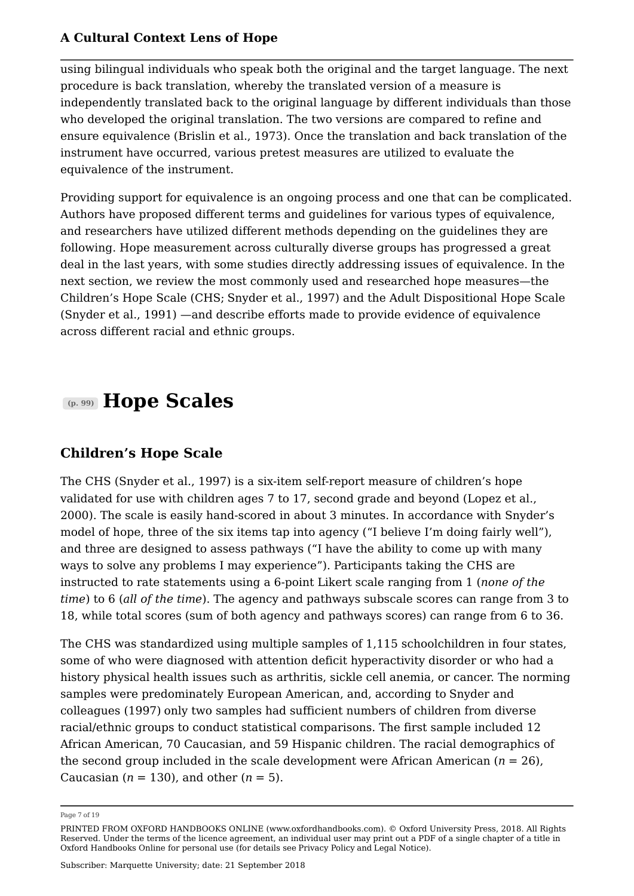using bilingual individuals who speak both the original and the target language. The next procedure is back translation, whereby the translated version of a measure is independently translated back to the original language by different individuals than those who developed the original translation. The two versions are compared to refine and ensure equivalence (Brislin et al., 1973). Once the translation and back translation of the instrument have occurred, various pretest measures are utilized to evaluate the equivalence of the instrument.

Providing support for equivalence is an ongoing process and one that can be complicated. Authors have proposed different terms and guidelines for various types of equivalence, and researchers have utilized different methods depending on the guidelines they are following. Hope measurement across culturally diverse groups has progressed a great deal in the last years, with some studies directly addressing issues of equivalence. In the next section, we review the most commonly used and researched hope measures—the Children's Hope Scale (CHS; Snyder et al., 1997) and the Adult Dispositional Hope Scale (Snyder et al., 1991) —and describe efforts made to provide evidence of equivalence across different racial and ethnic groups.

## **Hope Scales (p. 99)**

## **Children's Hope Scale**

The CHS (Snyder et al., 1997) is a six-item self-report measure of children's hope validated for use with children ages 7 to 17, second grade and beyond (Lopez et al., 2000). The scale is easily hand-scored in about 3 minutes. In accordance with Snyder's model of hope, three of the six items tap into agency ("I believe I'm doing fairly well"), and three are designed to assess pathways ("I have the ability to come up with many ways to solve any problems I may experience"). Participants taking the CHS are instructed to rate statements using a 6-point Likert scale ranging from 1 (*none of the time*) to 6 (*all of the time*). The agency and pathways subscale scores can range from 3 to 18, while total scores (sum of both agency and pathways scores) can range from 6 to 36.

The CHS was standardized using multiple samples of 1,115 schoolchildren in four states, some of who were diagnosed with attention deficit hyperactivity disorder or who had a history physical health issues such as arthritis, sickle cell anemia, or cancer. The norming samples were predominately European American, and, according to Snyder and colleagues (1997) only two samples had sufficient numbers of children from diverse racial/ethnic groups to conduct statistical comparisons. The first sample included 12 African American, 70 Caucasian, and 59 Hispanic children. The racial demographics of the second group included in the scale development were African American  $(n = 26)$ , Caucasian  $(n = 130)$ , and other  $(n = 5)$ .

Page 7 of 19

PRINTED FROM OXFORD HANDBOOKS ONLINE (www.oxfordhandbooks.com). © Oxford University Press, 2018. All Rights Reserved. Under the terms of the licence agreement, an individual user may print out a PDF of a single chapter of a title in Oxford Handbooks Online for personal use (for details see Privacy Policy and Legal Notice).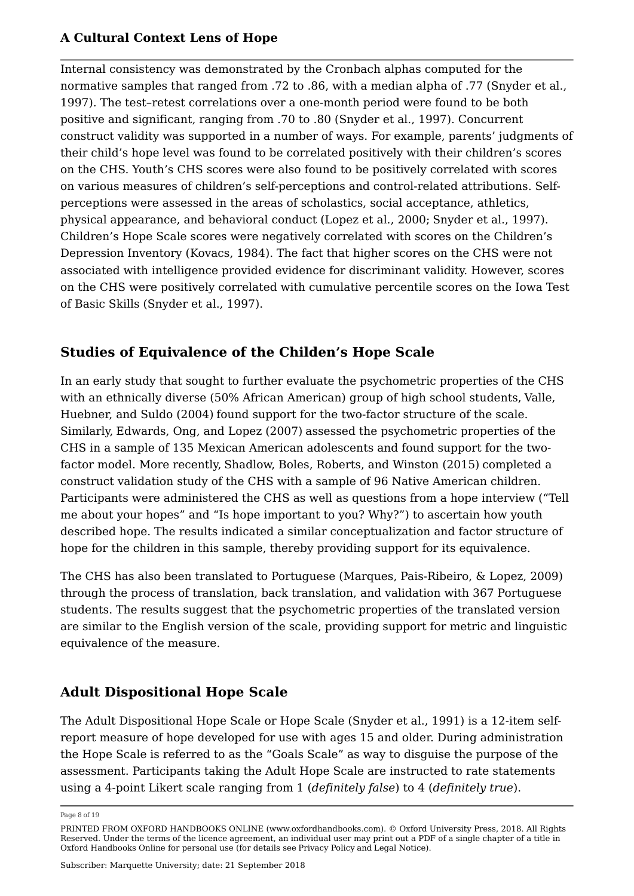Internal consistency was demonstrated by the Cronbach alphas computed for the normative samples that ranged from .72 to .86, with a median alpha of .77 (Snyder et al., 1997). The test–retest correlations over a one-month period were found to be both positive and significant, ranging from .70 to .80 (Snyder et al., 1997). Concurrent construct validity was supported in a number of ways. For example, parents' judgments of their child's hope level was found to be correlated positively with their children's scores on the CHS. Youth's CHS scores were also found to be positively correlated with scores on various measures of children's self-perceptions and control-related attributions. Selfperceptions were assessed in the areas of scholastics, social acceptance, athletics, physical appearance, and behavioral conduct (Lopez et al., 2000; Snyder et al., 1997). Children's Hope Scale scores were negatively correlated with scores on the Children's Depression Inventory (Kovacs, 1984). The fact that higher scores on the CHS were not associated with intelligence provided evidence for discriminant validity. However, scores on the CHS were positively correlated with cumulative percentile scores on the Iowa Test of Basic Skills (Snyder et al., 1997).

## **Studies of Equivalence of the Childen's Hope Scale**

In an early study that sought to further evaluate the psychometric properties of the CHS with an ethnically diverse (50% African American) group of high school students, Valle, Huebner, and Suldo (2004) found support for the two-factor structure of the scale. Similarly, Edwards, Ong, and Lopez (2007) assessed the psychometric properties of the CHS in a sample of 135 Mexican American adolescents and found support for the twofactor model. More recently, Shadlow, Boles, Roberts, and Winston (2015) completed a construct validation study of the CHS with a sample of 96 Native American children. Participants were administered the CHS as well as questions from a hope interview ("Tell me about your hopes" and "Is hope important to you? Why?") to ascertain how youth described hope. The results indicated a similar conceptualization and factor structure of hope for the children in this sample, thereby providing support for its equivalence.

The CHS has also been translated to Portuguese (Marques, Pais-Ribeiro, & Lopez, 2009) through the process of translation, back translation, and validation with 367 Portuguese students. The results suggest that the psychometric properties of the translated version are similar to the English version of the scale, providing support for metric and linguistic equivalence of the measure.

## **Adult Dispositional Hope Scale**

The Adult Dispositional Hope Scale or Hope Scale (Snyder et al., 1991) is a 12-item selfreport measure of hope developed for use with ages 15 and older. During administration the Hope Scale is referred to as the "Goals Scale" as way to disguise the purpose of the assessment. Participants taking the Adult Hope Scale are instructed to rate statements using a 4-point Likert scale ranging from 1 (*definitely false*) to 4 (*definitely true*).

Page 8 of 19

PRINTED FROM OXFORD HANDBOOKS ONLINE (www.oxfordhandbooks.com). © Oxford University Press, 2018. All Rights Reserved. Under the terms of the licence agreement, an individual user may print out a PDF of a single chapter of a title in Oxford Handbooks Online for personal use (for details see Privacy Policy and Legal Notice).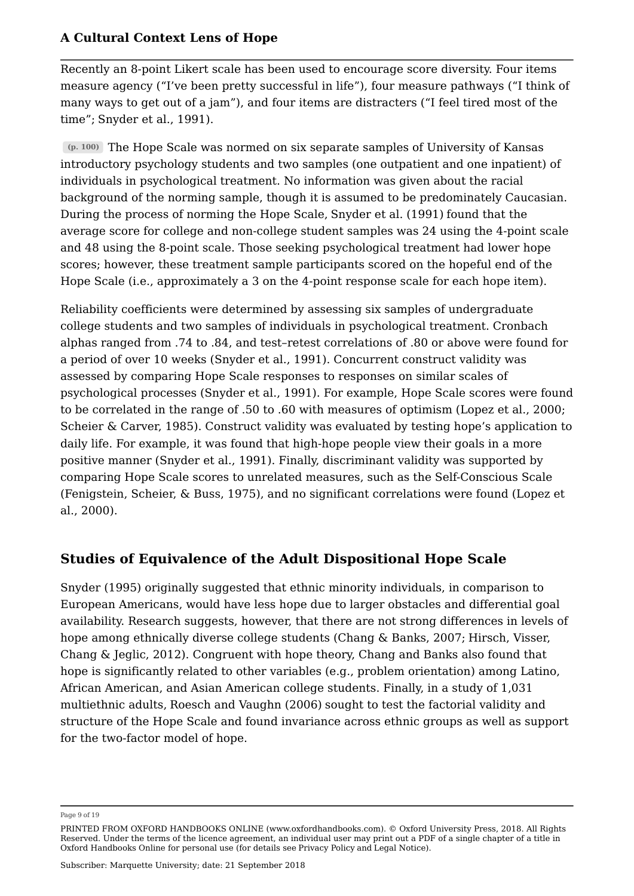Recently an 8-point Likert scale has been used to encourage score diversity. Four items measure agency ("I've been pretty successful in life"), four measure pathways ("I think of many ways to get out of a jam"), and four items are distracters ("I feel tired most of the time"; Snyder et al., 1991).

The Hope Scale was normed on six separate samples of University of Kansas **(p. 100)** introductory psychology students and two samples (one outpatient and one inpatient) of individuals in psychological treatment. No information was given about the racial background of the norming sample, though it is assumed to be predominately Caucasian. During the process of norming the Hope Scale, Snyder et al. (1991) found that the average score for college and non-college student samples was 24 using the 4-point scale and 48 using the 8-point scale. Those seeking psychological treatment had lower hope scores; however, these treatment sample participants scored on the hopeful end of the Hope Scale (i.e., approximately a 3 on the 4-point response scale for each hope item).

Reliability coefficients were determined by assessing six samples of undergraduate college students and two samples of individuals in psychological treatment. Cronbach alphas ranged from .74 to .84, and test–retest correlations of .80 or above were found for a period of over 10 weeks (Snyder et al., 1991). Concurrent construct validity was assessed by comparing Hope Scale responses to responses on similar scales of psychological processes (Snyder et al., 1991). For example, Hope Scale scores were found to be correlated in the range of .50 to .60 with measures of optimism (Lopez et al., 2000; Scheier & Carver, 1985). Construct validity was evaluated by testing hope's application to daily life. For example, it was found that high-hope people view their goals in a more positive manner (Snyder et al., 1991). Finally, discriminant validity was supported by comparing Hope Scale scores to unrelated measures, such as the Self-Conscious Scale (Fenigstein, Scheier, & Buss, 1975), and no significant correlations were found (Lopez et al., 2000).

## **Studies of Equivalence of the Adult Dispositional Hope Scale**

Snyder (1995) originally suggested that ethnic minority individuals, in comparison to European Americans, would have less hope due to larger obstacles and differential goal availability. Research suggests, however, that there are not strong differences in levels of hope among ethnically diverse college students (Chang & Banks, 2007; Hirsch, Visser, Chang & Jeglic, 2012). Congruent with hope theory, Chang and Banks also found that hope is significantly related to other variables (e.g., problem orientation) among Latino, African American, and Asian American college students. Finally, in a study of 1,031 multiethnic adults, Roesch and Vaughn (2006) sought to test the factorial validity and structure of the Hope Scale and found invariance across ethnic groups as well as support for the two-factor model of hope.

Page 9 of 19

PRINTED FROM OXFORD HANDBOOKS ONLINE (www.oxfordhandbooks.com). © Oxford University Press, 2018. All Rights Reserved. Under the terms of the licence agreement, an individual user may print out a PDF of a single chapter of a title in Oxford Handbooks Online for personal use (for details see Privacy Policy and Legal Notice).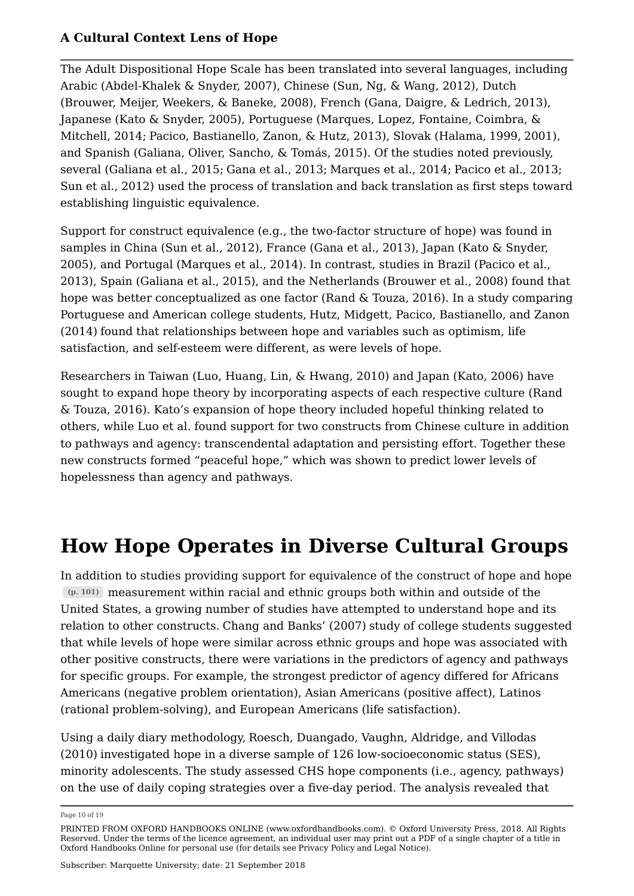The Adult Dispositional Hope Scale has been translated into several languages, including Arabic (Abdel-Khalek & Snyder, 2007), Chinese (Sun, Ng, & Wang, 2012), Dutch (Brouwer, Meijer, Weekers, & Baneke, 2008), French (Gana, Daigre, & Ledrich, 2013), Japanese (Kato & Snyder, 2005), Portuguese (Marques, Lopez, Fontaine, Coimbra, & Mitchell, 2014; Pacico, Bastianello, Zanon, & Hutz, 2013), Slovak (Halama, 1999, 2001), and Spanish (Galiana, Oliver, Sancho, & Tomás, 2015). Of the studies noted previously, several (Galiana et al., 2015; Gana et al., 2013; Marques et al., 2014; Pacico et al., 2013; Sun et al., 2012) used the process of translation and back translation as first steps toward establishing linguistic equivalence.

Support for construct equivalence (e.g., the two-factor structure of hope) was found in samples in China (Sun et al., 2012), France (Gana et al., 2013), Japan (Kato & Snyder, 2005), and Portugal (Marques et al., 2014). In contrast, studies in Brazil (Pacico et al., 2013), Spain (Galiana et al., 2015), and the Netherlands (Brouwer et al., 2008) found that hope was better conceptualized as one factor (Rand & Touza, 2016). In a study comparing Portuguese and American college students, Hutz, Midgett, Pacico, Bastianello, and Zanon (2014) found that relationships between hope and variables such as optimism, life satisfaction, and self-esteem were different, as were levels of hope.

Researchers in Taiwan (Luo, Huang, Lin, & Hwang, 2010) and Japan (Kato, 2006) have sought to expand hope theory by incorporating aspects of each respective culture (Rand & Touza, 2016). Kato's expansion of hope theory included hopeful thinking related to others, while Luo et al. found support for two constructs from Chinese culture in addition to pathways and agency: transcendental adaptation and persisting effort. Together these new constructs formed "peaceful hope," which was shown to predict lower levels of hopelessness than agency and pathways.

## **How Hope Operates in Diverse Cultural Groups**

In addition to studies providing support for equivalence of the construct of hope and hope measurement within racial and ethnic groups both within and outside of the **(p. 101)** United States, a growing number of studies have attempted to understand hope and its relation to other constructs. Chang and Banks' (2007) study of college students suggested that while levels of hope were similar across ethnic groups and hope was associated with other positive constructs, there were variations in the predictors of agency and pathways for specific groups. For example, the strongest predictor of agency differed for Africans Americans (negative problem orientation), Asian Americans (positive affect), Latinos (rational problem-solving), and European Americans (life satisfaction).

Using a daily diary methodology, Roesch, Duangado, Vaughn, Aldridge, and Villodas (2010) investigated hope in a diverse sample of 126 low-socioeconomic status (SES), minority adolescents. The study assessed CHS hope components (i.e., agency, pathways) on the use of daily coping strategies over a five-day period. The analysis revealed that

Page 10 of 19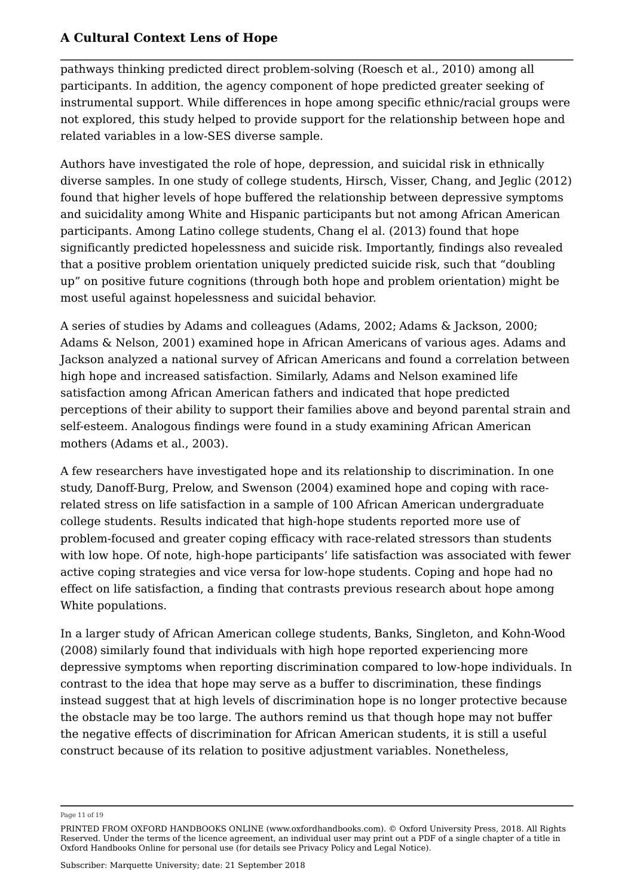pathways thinking predicted direct problem-solving (Roesch et al., 2010) among all participants. In addition, the agency component of hope predicted greater seeking of instrumental support. While differences in hope among specific ethnic/racial groups were not explored, this study helped to provide support for the relationship between hope and related variables in a low-SES diverse sample.

Authors have investigated the role of hope, depression, and suicidal risk in ethnically diverse samples. In one study of college students, Hirsch, Visser, Chang, and Jeglic (2012) found that higher levels of hope buffered the relationship between depressive symptoms and suicidality among White and Hispanic participants but not among African American participants. Among Latino college students, Chang el al. (2013) found that hope significantly predicted hopelessness and suicide risk. Importantly, findings also revealed that a positive problem orientation uniquely predicted suicide risk, such that "doubling up" on positive future cognitions (through both hope and problem orientation) might be most useful against hopelessness and suicidal behavior.

A series of studies by Adams and colleagues (Adams, 2002; Adams & Jackson, 2000; Adams & Nelson, 2001) examined hope in African Americans of various ages. Adams and Jackson analyzed a national survey of African Americans and found a correlation between high hope and increased satisfaction. Similarly, Adams and Nelson examined life satisfaction among African American fathers and indicated that hope predicted perceptions of their ability to support their families above and beyond parental strain and self-esteem. Analogous findings were found in a study examining African American mothers (Adams et al., 2003).

A few researchers have investigated hope and its relationship to discrimination. In one study, Danoff-Burg, Prelow, and Swenson (2004) examined hope and coping with racerelated stress on life satisfaction in a sample of 100 African American undergraduate college students. Results indicated that high-hope students reported more use of problem-focused and greater coping efficacy with race-related stressors than students with low hope. Of note, high-hope participants' life satisfaction was associated with fewer active coping strategies and vice versa for low-hope students. Coping and hope had no effect on life satisfaction, a finding that contrasts previous research about hope among White populations.

In a larger study of African American college students, Banks, Singleton, and Kohn-Wood (2008) similarly found that individuals with high hope reported experiencing more depressive symptoms when reporting discrimination compared to low-hope individuals. In contrast to the idea that hope may serve as a buffer to discrimination, these findings instead suggest that at high levels of discrimination hope is no longer protective because the obstacle may be too large. The authors remind us that though hope may not buffer the negative effects of discrimination for African American students, it is still a useful construct because of its relation to positive adjustment variables. Nonetheless,

Page 11 of 19

PRINTED FROM OXFORD HANDBOOKS ONLINE (www.oxfordhandbooks.com). © Oxford University Press, 2018. All Rights Reserved. Under the terms of the licence agreement, an individual user may print out a PDF of a single chapter of a title in Oxford Handbooks Online for personal use (for details see Privacy Policy and Legal Notice).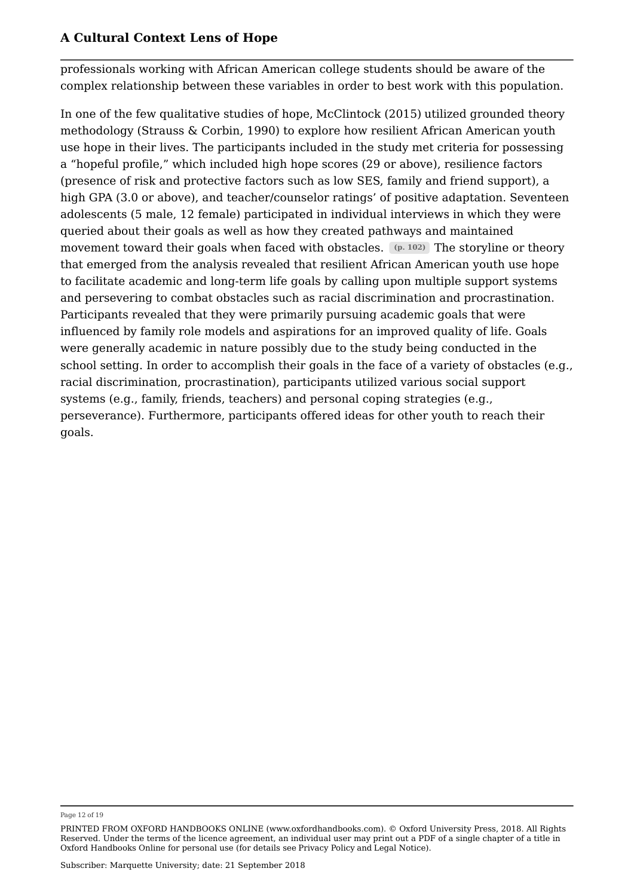professionals working with African American college students should be aware of the complex relationship between these variables in order to best work with this population.

In one of the few qualitative studies of hope, McClintock (2015) utilized grounded theory methodology (Strauss & Corbin, 1990) to explore how resilient African American youth use hope in their lives. The participants included in the study met criteria for possessing a "hopeful profile," which included high hope scores (29 or above), resilience factors (presence of risk and protective factors such as low SES, family and friend support), a high GPA (3.0 or above), and teacher/counselor ratings' of positive adaptation. Seventeen adolescents (5 male, 12 female) participated in individual interviews in which they were queried about their goals as well as how they created pathways and maintained movement toward their goals when faced with obstacles.  $(p. 102)$  The storyline or theory that emerged from the analysis revealed that resilient African American youth use hope to facilitate academic and long-term life goals by calling upon multiple support systems and persevering to combat obstacles such as racial discrimination and procrastination. Participants revealed that they were primarily pursuing academic goals that were influenced by family role models and aspirations for an improved quality of life. Goals were generally academic in nature possibly due to the study being conducted in the school setting. In order to accomplish their goals in the face of a variety of obstacles (e.g., racial discrimination, procrastination), participants utilized various social support systems (e.g., family, friends, teachers) and personal coping strategies (e.g., perseverance). Furthermore, participants offered ideas for other youth to reach their goals.

Page 12 of 19

PRINTED FROM OXFORD HANDBOOKS ONLINE (www.oxfordhandbooks.com). © Oxford University Press, 2018. All Rights Reserved. Under the terms of the licence agreement, an individual user may print out a PDF of a single chapter of a title in Oxford Handbooks Online for personal use (for details see Privacy Policy and Legal Notice).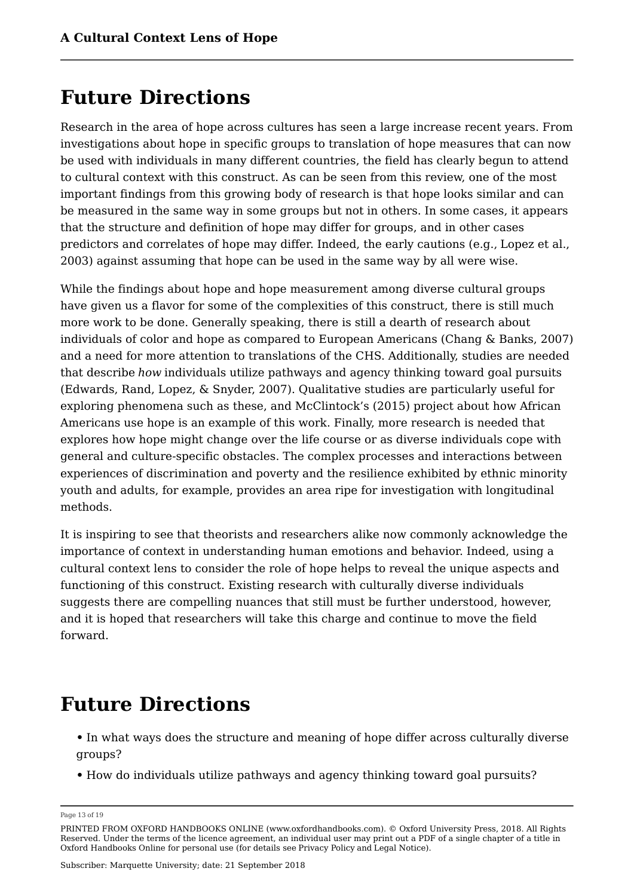## **Future Directions**

Research in the area of hope across cultures has seen a large increase recent years. From investigations about hope in specific groups to translation of hope measures that can now be used with individuals in many different countries, the field has clearly begun to attend to cultural context with this construct. As can be seen from this review, one of the most important findings from this growing body of research is that hope looks similar and can be measured in the same way in some groups but not in others. In some cases, it appears that the structure and definition of hope may differ for groups, and in other cases predictors and correlates of hope may differ. Indeed, the early cautions (e.g., Lopez et al., 2003) against assuming that hope can be used in the same way by all were wise.

While the findings about hope and hope measurement among diverse cultural groups have given us a flavor for some of the complexities of this construct, there is still much more work to be done. Generally speaking, there is still a dearth of research about individuals of color and hope as compared to European Americans (Chang & Banks, 2007) and a need for more attention to translations of the CHS. Additionally, studies are needed that describe *how* individuals utilize pathways and agency thinking toward goal pursuits (Edwards, Rand, Lopez, & Snyder, 2007). Qualitative studies are particularly useful for exploring phenomena such as these, and McClintock's (2015) project about how African Americans use hope is an example of this work. Finally, more research is needed that explores how hope might change over the life course or as diverse individuals cope with general and culture-specific obstacles. The complex processes and interactions between experiences of discrimination and poverty and the resilience exhibited by ethnic minority youth and adults, for example, provides an area ripe for investigation with longitudinal methods.

It is inspiring to see that theorists and researchers alike now commonly acknowledge the importance of context in understanding human emotions and behavior. Indeed, using a cultural context lens to consider the role of hope helps to reveal the unique aspects and functioning of this construct. Existing research with culturally diverse individuals suggests there are compelling nuances that still must be further understood, however, and it is hoped that researchers will take this charge and continue to move the field forward.

## **Future Directions**

- **•** In what ways does the structure and meaning of hope differ across culturally diverse groups?
- **•** How do individuals utilize pathways and agency thinking toward goal pursuits?

Page 13 of 19

PRINTED FROM OXFORD HANDBOOKS ONLINE (www.oxfordhandbooks.com). © Oxford University Press, 2018. All Rights Reserved. Under the terms of the licence agreement, an individual user may print out a PDF of a single chapter of a title in Oxford Handbooks Online for personal use (for details see Privacy Policy and Legal Notice).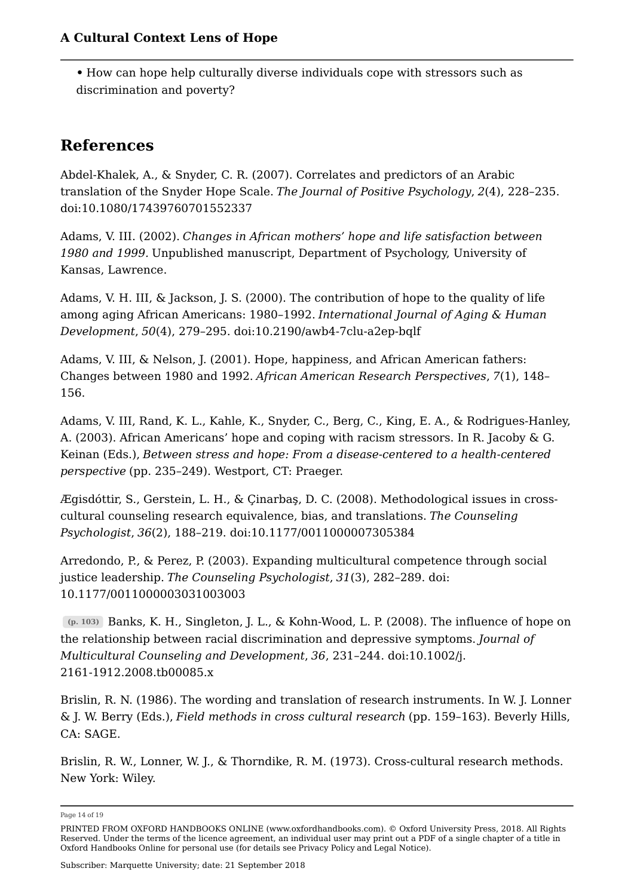**•** How can hope help culturally diverse individuals cope with stressors such as discrimination and poverty?

## **References**

Abdel-Khalek, A., & Snyder, C. R. (2007). Correlates and predictors of an Arabic translation of the Snyder Hope Scale. *The Journal of Positive Psychology*, *2*(4), 228–235. doi:10.1080/17439760701552337

Adams, V. III. (2002). *Changes in African mothers' hope and life satisfaction between 1980 and 1999.* Unpublished manuscript, Department of Psychology, University of Kansas, Lawrence.

Adams, V. H. III, & Jackson, J. S. (2000). The contribution of hope to the quality of life among aging African Americans: 1980–1992. *International Journal of Aging & Human Development*, *50*(4), 279–295. doi:10.2190/awb4-7clu-a2ep-bqlf

Adams, V. III, & Nelson, J. (2001). Hope, happiness, and African American fathers: Changes between 1980 and 1992. *African American Research Perspectives*, *7*(1), 148– 156.

Adams, V. III, Rand, K. L., Kahle, K., Snyder, C., Berg, C., King, E. A., & Rodrigues-Hanley, A. (2003). African Americans' hope and coping with racism stressors. In R. Jacoby & G. Keinan (Eds.), *Between stress and hope: From a disease-centered to a health-centered perspective* (pp. 235–249). Westport, CT: Praeger.

Ægisdóttir, S., Gerstein, L. H., & Çinarbaş, D. C. (2008). Methodological issues in crosscultural counseling research equivalence, bias, and translations. *The Counseling Psychologist*, *36*(2), 188–219. doi:10.1177/0011000007305384

Arredondo, P., & Perez, P. (2003). Expanding multicultural competence through social justice leadership. *The Counseling Psychologist*, *31*(3), 282–289. doi: 10.1177/0011000003031003003

Banks, K. H., Singleton, J. L., & Kohn-Wood, L. P. (2008). The influence of hope on **(p. 103)** the relationship between racial discrimination and depressive symptoms. *Journal of Multicultural Counseling and Development*, *36*, 231–244. doi:10.1002/j. 2161-1912.2008.tb00085.x

Brislin, R. N. (1986). The wording and translation of research instruments. In W. J. Lonner & J. W. Berry (Eds.), *Field methods in cross cultural research* (pp. 159–163). Beverly Hills, CA: SAGE.

Brislin, R. W., Lonner, W. J., & Thorndike, R. M. (1973). Cross-cultural research methods. New York: Wiley.

Page 14 of 19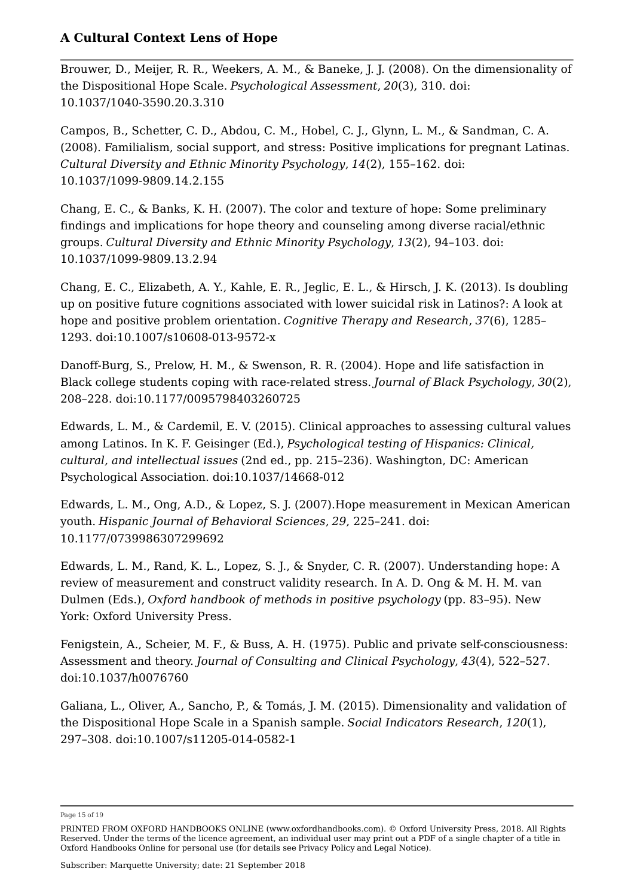Brouwer, D., Meijer, R. R., Weekers, A. M., & Baneke, J. J. (2008). On the dimensionality of the Dispositional Hope Scale. *Psychological Assessment*, *20*(3), 310. doi: 10.1037/1040-3590.20.3.310

Campos, B., Schetter, C. D., Abdou, C. M., Hobel, C. J., Glynn, L. M., & Sandman, C. A. (2008). Familialism, social support, and stress: Positive implications for pregnant Latinas. *Cultural Diversity and Ethnic Minority Psychology*, *14*(2), 155–162. doi: 10.1037/1099-9809.14.2.155

Chang, E. C., & Banks, K. H. (2007). The color and texture of hope: Some preliminary findings and implications for hope theory and counseling among diverse racial/ethnic groups. *Cultural Diversity and Ethnic Minority Psychology*, *13*(2), 94–103. doi: 10.1037/1099-9809.13.2.94

Chang, E. C., Elizabeth, A. Y., Kahle, E. R., Jeglic, E. L., & Hirsch, J. K. (2013). Is doubling up on positive future cognitions associated with lower suicidal risk in Latinos?: A look at hope and positive problem orientation. *Cognitive Therapy and Research*, *37*(6), 1285– 1293. doi:10.1007/s10608-013-9572-x

Danoff-Burg, S., Prelow, H. M., & Swenson, R. R. (2004). Hope and life satisfaction in Black college students coping with race-related stress. *Journal of Black Psychology*, *30*(2), 208–228. doi:10.1177/0095798403260725

Edwards, L. M., & Cardemil, E. V. (2015). Clinical approaches to assessing cultural values among Latinos. In K. F. Geisinger (Ed.), *Psychological testing of Hispanics: Clinical, cultural, and intellectual issues* (2nd ed., pp. 215–236). Washington, DC: American Psychological Association. doi:10.1037/14668-012

Edwards, L. M., Ong, A.D., & Lopez, S. J. (2007).Hope measurement in Mexican American youth. *Hispanic Journal of Behavioral Sciences*, *29*, 225–241. doi: 10.1177/0739986307299692

Edwards, L. M., Rand, K. L., Lopez, S. J., & Snyder, C. R. (2007). Understanding hope: A review of measurement and construct validity research. In A. D. Ong & M. H. M. van Dulmen (Eds.), *Oxford handbook of methods in positive psychology* (pp. 83–95). New York: Oxford University Press.

Fenigstein, A., Scheier, M. F., & Buss, A. H. (1975). Public and private self-consciousness: Assessment and theory. *Journal of Consulting and Clinical Psychology*, *43*(4), 522–527. doi:10.1037/h0076760

Galiana, L., Oliver, A., Sancho, P., & Tomás, J. M. (2015). Dimensionality and validation of the Dispositional Hope Scale in a Spanish sample. *Social Indicators Research*, *120*(1), 297–308. doi:10.1007/s11205-014-0582-1

Page 15 of 19

PRINTED FROM OXFORD HANDBOOKS ONLINE (www.oxfordhandbooks.com). © Oxford University Press, 2018. All Rights Reserved. Under the terms of the licence agreement, an individual user may print out a PDF of a single chapter of a title in Oxford Handbooks Online for personal use (for details see Privacy Policy and Legal Notice).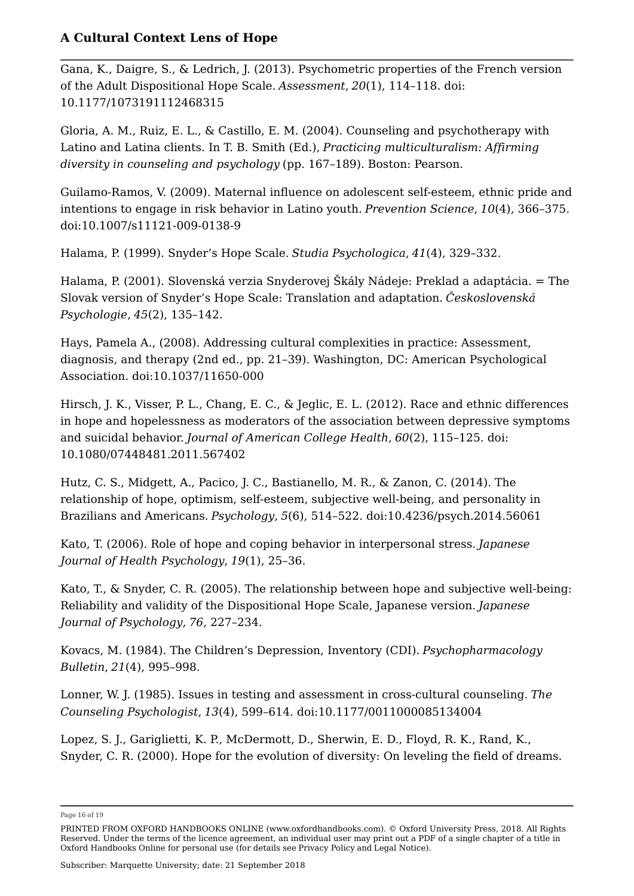Gana, K., Daigre, S., & Ledrich, J. (2013). Psychometric properties of the French version of the Adult Dispositional Hope Scale. *Assessment*, *20*(1), 114–118. doi: 10.1177/1073191112468315

Gloria, A. M., Ruiz, E. L., & Castillo, E. M. (2004). Counseling and psychotherapy with Latino and Latina clients. In T. B. Smith (Ed.), *Practicing multiculturalism: Affirming diversity in counseling and psychology* (pp. 167–189). Boston: Pearson.

Guilamo-Ramos, V. (2009). Maternal influence on adolescent self-esteem, ethnic pride and intentions to engage in risk behavior in Latino youth. *Prevention Science*, *10*(4), 366–375. doi:10.1007/s11121-009-0138-9

Halama, P. (1999). Snyder's Hope Scale. *Studia Psychologica*, *41*(4), 329–332.

Halama, P. (2001). Slovenská verzia Snyderovej Škály Nádeje: Preklad a adaptácia. = The Slovak version of Snyder's Hope Scale: Translation and adaptation. *Československá Psychologie*, *45*(2), 135–142.

Hays, Pamela A., (2008). Addressing cultural complexities in practice: Assessment, diagnosis, and therapy (2nd ed., pp. 21–39). Washington, DC: American Psychological Association. doi:10.1037/11650-000

Hirsch, J. K., Visser, P. L., Chang, E. C., & Jeglic, E. L. (2012). Race and ethnic differences in hope and hopelessness as moderators of the association between depressive symptoms and suicidal behavior. *Journal of American College Health*, *60*(2), 115–125. doi: 10.1080/07448481.2011.567402

Hutz, C. S., Midgett, A., Pacico, J. C., Bastianello, M. R., & Zanon, C. (2014). The relationship of hope, optimism, self-esteem, subjective well-being, and personality in Brazilians and Americans. *Psychology*, *5*(6), 514–522. doi:10.4236/psych.2014.56061

Kato, T. (2006). Role of hope and coping behavior in interpersonal stress. *Japanese Journal of Health Psychology*, *19*(1), 25–36.

Kato, T., & Snyder, C. R. (2005). The relationship between hope and subjective well-being: Reliability and validity of the Dispositional Hope Scale, Japanese version. *Japanese Journal of Psychology*, *76*, 227–234.

Kovacs, M. (1984). The Children's Depression, Inventory (CDI). *Psychopharmacology Bulletin*, *21*(4), 995–998.

Lonner, W. J. (1985). Issues in testing and assessment in cross-cultural counseling. *The Counseling Psychologist*, *13*(4), 599–614. doi:10.1177/0011000085134004

Lopez, S. J., Gariglietti, K. P., McDermott, D., Sherwin, E. D., Floyd, R. K., Rand, K., Snyder, C. R. (2000). Hope for the evolution of diversity: On leveling the field of dreams.

Page 16 of 19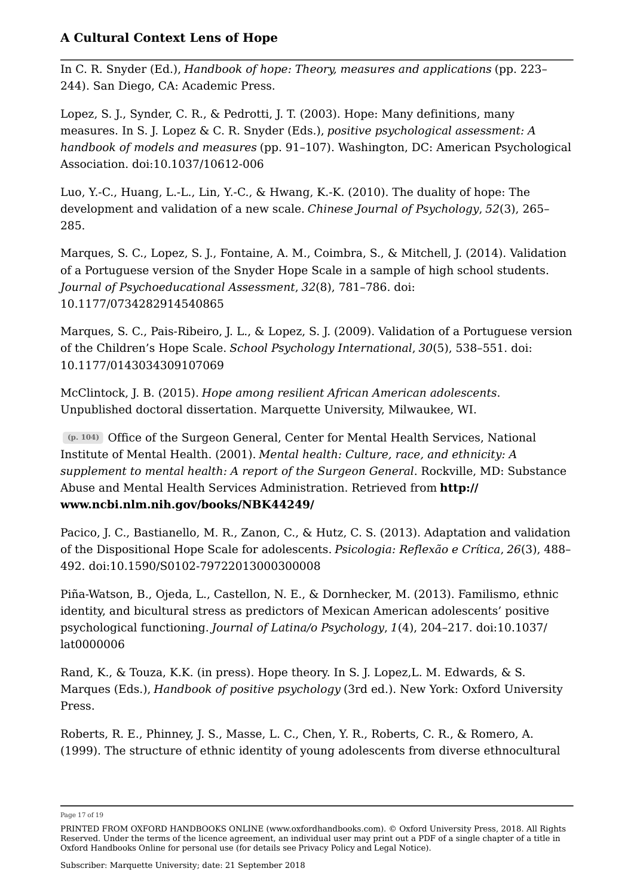In C. R. Snyder (Ed.), *Handbook of hope: Theory, measures and applications* (pp. 223– 244). San Diego, CA: Academic Press.

Lopez, S. J., Synder, C. R., & Pedrotti, J. T. (2003). Hope: Many definitions, many measures. In S. J. Lopez & C. R. Snyder (Eds.), *positive psychological assessment: A handbook of models and measures* (pp. 91–107). Washington, DC: American Psychological Association. doi:10.1037/10612-006

Luo, Y.-C., Huang, L.-L., Lin, Y.-C., & Hwang, K.-K. (2010). The duality of hope: The development and validation of a new scale. *Chinese Journal of Psychology*, *52*(3), 265– 285.

Marques, S. C., Lopez, S. J., Fontaine, A. M., Coimbra, S., & Mitchell, J. (2014). Validation of a Portuguese version of the Snyder Hope Scale in a sample of high school students. *Journal of Psychoeducational Assessment*, *32*(8), 781–786. doi: 10.1177/0734282914540865

Marques, S. C., Pais-Ribeiro, J. L., & Lopez, S. J. (2009). Validation of a Portuguese version of the Children's Hope Scale. *School Psychology International*, *30*(5), 538–551. doi: 10.1177/0143034309107069

McClintock, J. B. (2015). *Hope among resilient African American adolescents*. Unpublished doctoral dissertation. Marquette University, Milwaukee, WI.

Office of the Surgeon General, Center for Mental Health Services, National **(p. 104)** Institute of Mental Health. (2001). *Mental health: Culture, race, and ethnicity: A supplement to mental health: A report of the Surgeon General*. Rockville, MD: Substance Abuse and Mental Health Services Administration. Retrieved from **http:// www.ncbi.nlm.nih.gov/books/NBK44249/**

Pacico, J. C., Bastianello, M. R., Zanon, C., & Hutz, C. S. (2013). Adaptation and validation of the Dispositional Hope Scale for adolescents. *Psicologia: Reflexão e Crítica*, *26*(3), 488– 492. doi:10.1590/S0102-79722013000300008

Piña-Watson, B., Ojeda, L., Castellon, N. E., & Dornhecker, M. (2013). Familismo, ethnic identity, and bicultural stress as predictors of Mexican American adolescents' positive psychological functioning. *Journal of Latina/o Psychology*, *1*(4), 204–217. doi:10.1037/ lat0000006

Rand, K., & Touza, K.K. (in press). Hope theory. In S. J. Lopez,L. M. Edwards, & S. Marques (Eds.), *Handbook of positive psychology* (3rd ed.). New York: Oxford University Press.

Roberts, R. E., Phinney, J. S., Masse, L. C., Chen, Y. R., Roberts, C. R., & Romero, A. (1999). The structure of ethnic identity of young adolescents from diverse ethnocultural

Page 17 of 19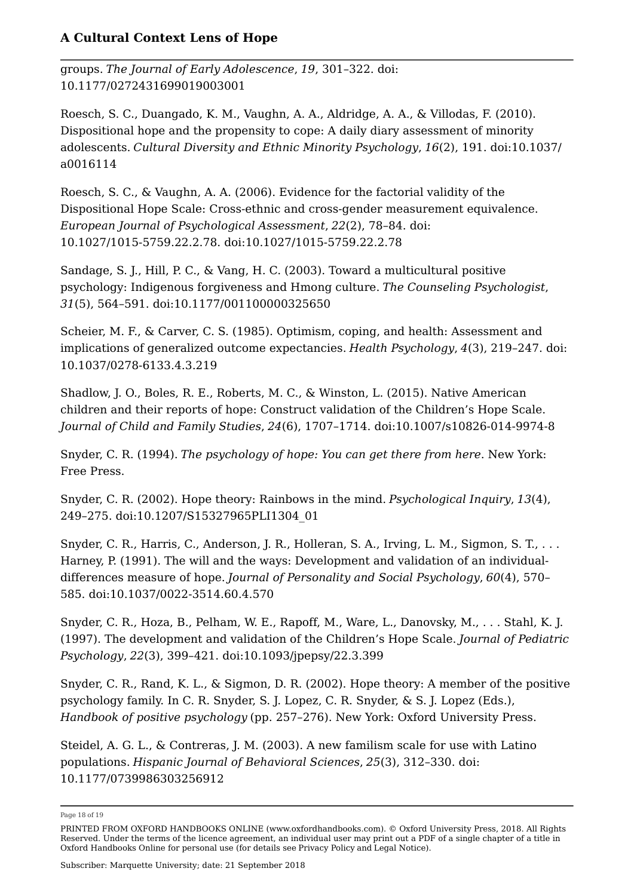groups. *The Journal of Early Adolescence*, *19*, 301–322. doi: 10.1177/0272431699019003001

Roesch, S. C., Duangado, K. M., Vaughn, A. A., Aldridge, A. A., & Villodas, F. (2010). Dispositional hope and the propensity to cope: A daily diary assessment of minority adolescents. *Cultural Diversity and Ethnic Minority Psychology*, *16*(2), 191. doi:10.1037/ a0016114

Roesch, S. C., & Vaughn, A. A. (2006). Evidence for the factorial validity of the Dispositional Hope Scale: Cross-ethnic and cross-gender measurement equivalence. *European Journal of Psychological Assessment*, *22*(2), 78–84. doi: 10.1027/1015-5759.22.2.78. doi:10.1027/1015-5759.22.2.78

Sandage, S. J., Hill, P. C., & Vang, H. C. (2003). Toward a multicultural positive psychology: Indigenous forgiveness and Hmong culture. *The Counseling Psychologist*, *31*(5), 564–591. doi:10.1177/001100000325650

Scheier, M. F., & Carver, C. S. (1985). Optimism, coping, and health: Assessment and implications of generalized outcome expectancies. *Health Psychology*, *4*(3), 219–247. doi: 10.1037/0278-6133.4.3.219

Shadlow, J. O., Boles, R. E., Roberts, M. C., & Winston, L. (2015). Native American children and their reports of hope: Construct validation of the Children's Hope Scale. *Journal of Child and Family Studies*, *24*(6), 1707–1714. doi:10.1007/s10826-014-9974-8

Snyder, C. R. (1994). *The psychology of hope: You can get there from here*. New York: Free Press.

Snyder, C. R. (2002). Hope theory: Rainbows in the mind. *Psychological Inquiry*, *13*(4), 249–275. doi:10.1207/S15327965PLI1304\_01

Snyder, C. R., Harris, C., Anderson, J. R., Holleran, S. A., Irving, L. M., Sigmon, S. T., ... Harney, P. (1991). The will and the ways: Development and validation of an individualdifferences measure of hope. *Journal of Personality and Social Psychology*, *60*(4), 570– 585. doi:10.1037/0022-3514.60.4.570

Snyder, C. R., Hoza, B., Pelham, W. E., Rapoff, M., Ware, L., Danovsky, M., . . . Stahl, K. J. (1997). The development and validation of the Children's Hope Scale. *Journal of Pediatric Psychology*, *22*(3), 399–421. doi:10.1093/jpepsy/22.3.399

Snyder, C. R., Rand, K. L., & Sigmon, D. R. (2002). Hope theory: A member of the positive psychology family. In C. R. Snyder, S. J. Lopez, C. R. Snyder, & S. J. Lopez (Eds.), *Handbook of positive psychology* (pp. 257–276). New York: Oxford University Press.

Steidel, A. G. L., & Contreras, J. M. (2003). A new familism scale for use with Latino populations. *Hispanic Journal of Behavioral Sciences*, *25*(3), 312–330. doi: 10.1177/0739986303256912

Page 18 of 19

PRINTED FROM OXFORD HANDBOOKS ONLINE (www.oxfordhandbooks.com). © Oxford University Press, 2018. All Rights Reserved. Under the terms of the licence agreement, an individual user may print out a PDF of a single chapter of a title in Oxford Handbooks Online for personal use (for details see Privacy Policy and Legal Notice).